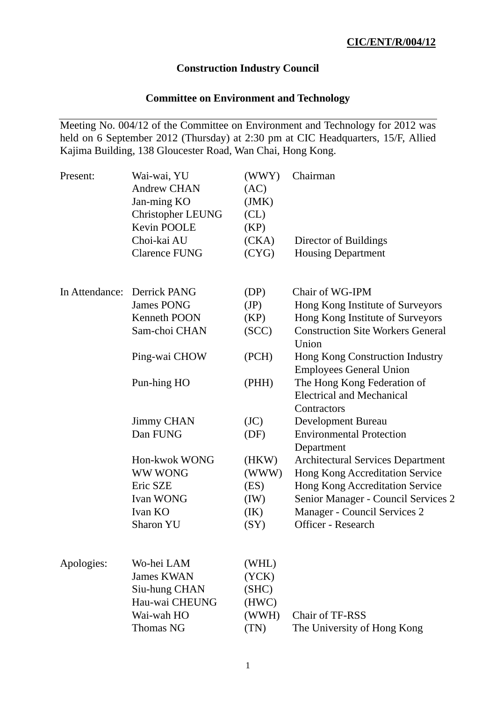## **Construction Industry Council**

# **Committee on Environment and Technology**

Meeting No. 004/12 of the Committee on Environment and Technology for 2012 was held on 6 September 2012 (Thursday) at 2:30 pm at CIC Headquarters, 15/F, Allied Kajima Building, 138 Gloucester Road, Wan Chai, Hong Kong.

| Present:       | Wai-wai, YU<br><b>Andrew CHAN</b><br>Jan-ming KO<br><b>Christopher LEUNG</b><br>Kevin POOLE | (WWY)<br>(AC)<br>(JMK)<br>CL)<br>(KP) | Chairman                                                                       |
|----------------|---------------------------------------------------------------------------------------------|---------------------------------------|--------------------------------------------------------------------------------|
|                | Choi-kai AU                                                                                 | (CKA)                                 | Director of Buildings                                                          |
|                | <b>Clarence FUNG</b>                                                                        | (CYG)                                 | <b>Housing Department</b>                                                      |
| In Attendance: | Derrick PANG                                                                                | (DP)                                  | Chair of WG-IPM                                                                |
|                | <b>James PONG</b>                                                                           | (JP)                                  | Hong Kong Institute of Surveyors                                               |
|                | Kenneth POON                                                                                | (KP)                                  | Hong Kong Institute of Surveyors                                               |
|                | Sam-choi CHAN                                                                               | (SCC)                                 | <b>Construction Site Workers General</b><br>Union                              |
|                | Ping-wai CHOW                                                                               | (PCH)                                 | Hong Kong Construction Industry<br><b>Employees General Union</b>              |
|                | Pun-hing HO                                                                                 | (PHH)                                 | The Hong Kong Federation of<br><b>Electrical and Mechanical</b><br>Contractors |
|                | <b>Jimmy CHAN</b>                                                                           | (JC)                                  | Development Bureau                                                             |
|                | Dan FUNG                                                                                    | (DF)                                  | <b>Environmental Protection</b><br>Department                                  |
|                | Hon-kwok WONG                                                                               | (HKW)                                 | <b>Architectural Services Department</b>                                       |
|                | <b>WW WONG</b>                                                                              | (WWW)                                 | Hong Kong Accreditation Service                                                |
|                | Eric SZE                                                                                    | (ES)                                  | Hong Kong Accreditation Service                                                |
|                | Ivan WONG                                                                                   | (IW)                                  | Senior Manager - Council Services 2                                            |
|                | Ivan KO                                                                                     | (IK)                                  | Manager - Council Services 2                                                   |
|                | <b>Sharon YU</b>                                                                            | (SY)                                  | Officer - Research                                                             |
| Apologies:     | Wo-hei LAM                                                                                  | (WHL)                                 |                                                                                |
|                | <b>James KWAN</b>                                                                           | (YCK)                                 |                                                                                |
|                | Siu-hung CHAN                                                                               | (SHC)                                 |                                                                                |
|                | Hau-wai CHEUNG                                                                              | (HWC)                                 |                                                                                |
|                | Wai-wah HO                                                                                  | (WWH)                                 | Chair of TF-RSS                                                                |
|                | Thomas NG                                                                                   | (TN)                                  | The University of Hong Kong                                                    |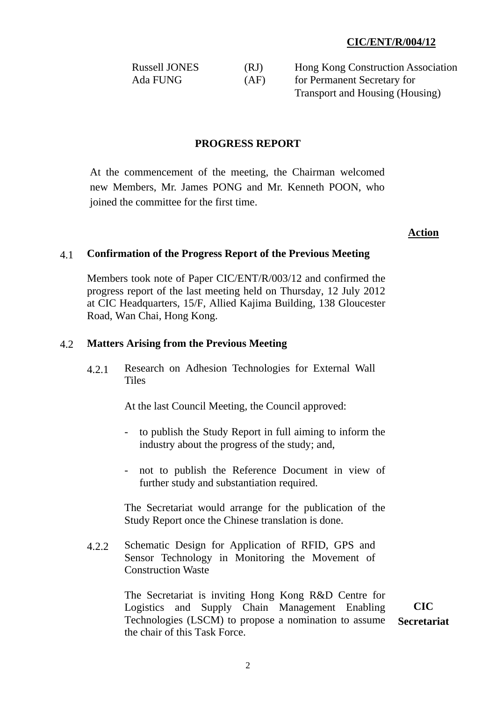| <b>Russell JONES</b> | (RJ) | Hong Kong Construction Association |
|----------------------|------|------------------------------------|
| Ada FUNG             | (AF) | for Permanent Secretary for        |
|                      |      | Transport and Housing (Housing)    |

#### **PROGRESS REPORT**

At the commencement of the meeting, the Chairman welcomed new Members, Mr. James PONG and Mr. Kenneth POON, who joined the committee for the first time.

#### **Action**

### 4.1 **Confirmation of the Progress Report of the Previous Meeting**

Members took note of Paper CIC/ENT/R/003/12 and confirmed the progress report of the last meeting held on Thursday, 12 July 2012 at CIC Headquarters, 15/F, Allied Kajima Building, 138 Gloucester Road, Wan Chai, Hong Kong.

#### 4.2 **Matters Arising from the Previous Meeting**

4.2.1 Research on Adhesion Technologies for External Wall **Tiles** 

At the last Council Meeting, the Council approved:

- to publish the Study Report in full aiming to inform the industry about the progress of the study; and,
- not to publish the Reference Document in view of further study and substantiation required.

The Secretariat would arrange for the publication of the Study Report once the Chinese translation is done.

4.2.2 Schematic Design for Application of RFID, GPS and Sensor Technology in Monitoring the Movement of Construction Waste

> The Secretariat is inviting Hong Kong R&D Centre for Logistics and Supply Chain Management Enabling Technologies (LSCM) to propose a nomination to assume the chair of this Task Force. **CIC Secretariat**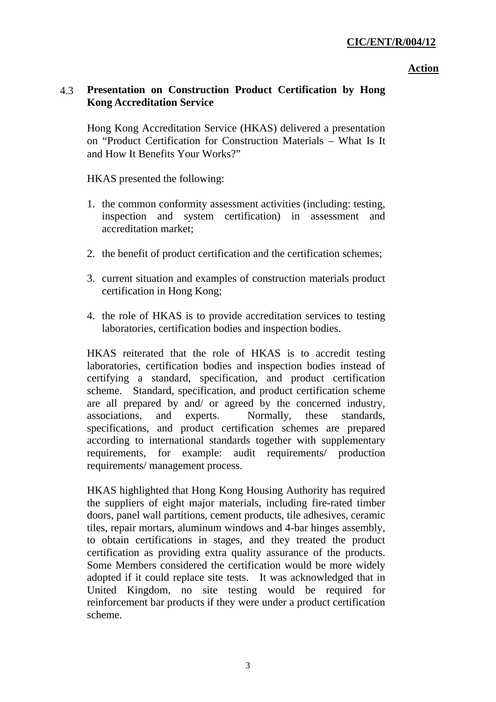#### **Action**

# 4.3 **Presentation on Construction Product Certification by Hong Kong Accreditation Service**

Hong Kong Accreditation Service (HKAS) delivered a presentation on "Product Certification for Construction Materials – What Is It and How It Benefits Your Works?"

HKAS presented the following:

- 1. the common conformity assessment activities (including: testing, inspection and system certification) in assessment and accreditation market;
- 2. the benefit of product certification and the certification schemes;
- 3. current situation and examples of construction materials product certification in Hong Kong;
- 4. the role of HKAS is to provide accreditation services to testing laboratories, certification bodies and inspection bodies.

HKAS reiterated that the role of HKAS is to accredit testing laboratories, certification bodies and inspection bodies instead of certifying a standard, specification, and product certification scheme. Standard, specification, and product certification scheme are all prepared by and/ or agreed by the concerned industry, associations, and experts. Normally, these standards, specifications, and product certification schemes are prepared according to international standards together with supplementary requirements, for example: audit requirements/ production requirements/ management process.

HKAS highlighted that Hong Kong Housing Authority has required the suppliers of eight major materials, including fire-rated timber doors, panel wall partitions, cement products, tile adhesives, ceramic tiles, repair mortars, aluminum windows and 4-bar hinges assembly, to obtain certifications in stages, and they treated the product certification as providing extra quality assurance of the products. Some Members considered the certification would be more widely adopted if it could replace site tests. It was acknowledged that in United Kingdom, no site testing would be required for reinforcement bar products if they were under a product certification scheme.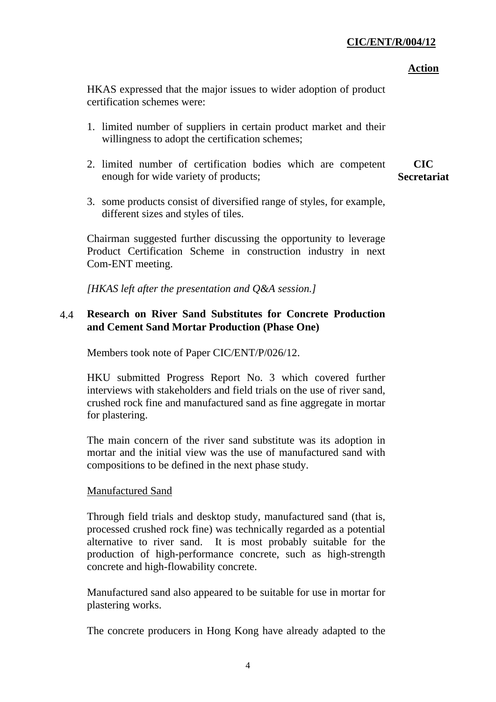#### **Action**

HKAS expressed that the major issues to wider adoption of product certification schemes were:

- 1. limited number of suppliers in certain product market and their willingness to adopt the certification schemes;
- 2. limited number of certification bodies which are competent enough for wide variety of products; **CIC Secretariat**
- 3. some products consist of diversified range of styles, for example, different sizes and styles of tiles.

Chairman suggested further discussing the opportunity to leverage Product Certification Scheme in construction industry in next Com-ENT meeting.

*[HKAS left after the presentation and Q&A session.]* 

# 4.4 **Research on River Sand Substitutes for Concrete Production and Cement Sand Mortar Production (Phase One)**

Members took note of Paper CIC/ENT/P/026/12.

HKU submitted Progress Report No. 3 which covered further interviews with stakeholders and field trials on the use of river sand, crushed rock fine and manufactured sand as fine aggregate in mortar for plastering.

The main concern of the river sand substitute was its adoption in mortar and the initial view was the use of manufactured sand with compositions to be defined in the next phase study.

### Manufactured Sand

Through field trials and desktop study, manufactured sand (that is, processed crushed rock fine) was technically regarded as a potential alternative to river sand. It is most probably suitable for the production of high-performance concrete, such as high-strength concrete and high-flowability concrete.

Manufactured sand also appeared to be suitable for use in mortar for plastering works.

The concrete producers in Hong Kong have already adapted to the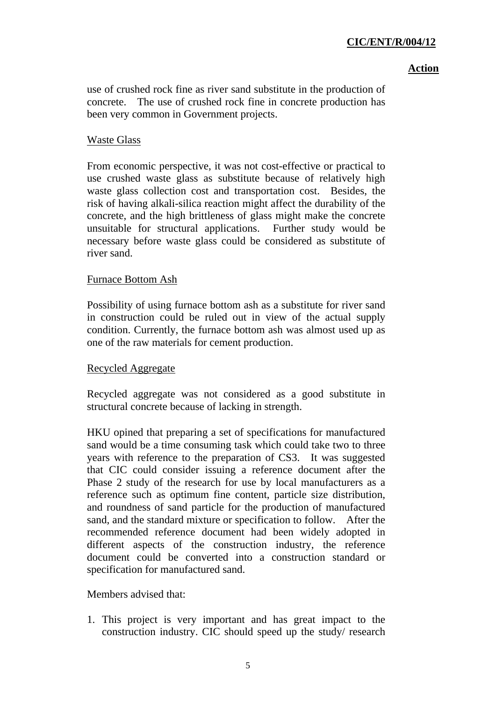#### **Action**

use of crushed rock fine as river sand substitute in the production of concrete. The use of crushed rock fine in concrete production has been very common in Government projects.

## Waste Glass

From economic perspective, it was not cost-effective or practical to use crushed waste glass as substitute because of relatively high waste glass collection cost and transportation cost. Besides, the risk of having alkali-silica reaction might affect the durability of the concrete, and the high brittleness of glass might make the concrete unsuitable for structural applications. Further study would be necessary before waste glass could be considered as substitute of river sand.

### Furnace Bottom Ash

Possibility of using furnace bottom ash as a substitute for river sand in construction could be ruled out in view of the actual supply condition. Currently, the furnace bottom ash was almost used up as one of the raw materials for cement production.

### Recycled Aggregate

Recycled aggregate was not considered as a good substitute in structural concrete because of lacking in strength.

HKU opined that preparing a set of specifications for manufactured sand would be a time consuming task which could take two to three years with reference to the preparation of CS3. It was suggested that CIC could consider issuing a reference document after the Phase 2 study of the research for use by local manufacturers as a reference such as optimum fine content, particle size distribution, and roundness of sand particle for the production of manufactured sand, and the standard mixture or specification to follow. After the recommended reference document had been widely adopted in different aspects of the construction industry, the reference document could be converted into a construction standard or specification for manufactured sand.

Members advised that:

1. This project is very important and has great impact to the construction industry. CIC should speed up the study/ research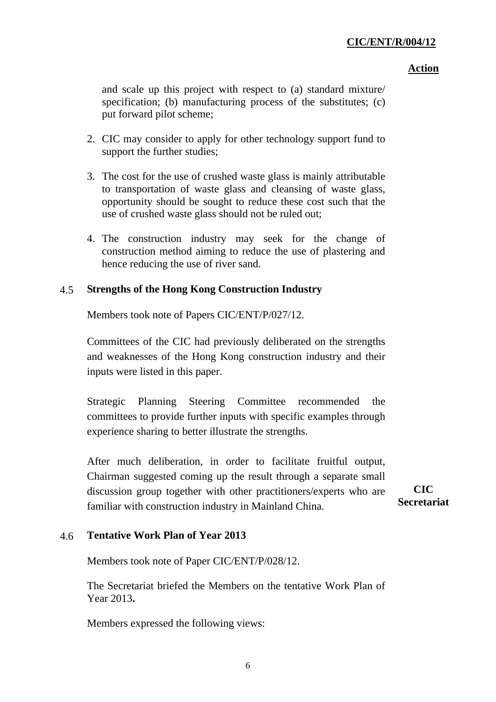#### **Action**

and scale up this project with respect to (a) standard mixture/ specification; (b) manufacturing process of the substitutes; (c) put forward pilot scheme;

- 2. CIC may consider to apply for other technology support fund to support the further studies;
- 3. The cost for the use of crushed waste glass is mainly attributable to transportation of waste glass and cleansing of waste glass, opportunity should be sought to reduce these cost such that the use of crushed waste glass should not be ruled out;
- 4. The construction industry may seek for the change of construction method aiming to reduce the use of plastering and hence reducing the use of river sand.

### 4.5 **Strengths of the Hong Kong Construction Industry**

Members took note of Papers CIC/ENT/P/027/12.

Committees of the CIC had previously deliberated on the strengths and weaknesses of the Hong Kong construction industry and their inputs were listed in this paper.

Strategic Planning Steering Committee recommended the committees to provide further inputs with specific examples through experience sharing to better illustrate the strengths.

After much deliberation, in order to facilitate fruitful output, Chairman suggested coming up the result through a separate small discussion group together with other practitioners/experts who are familiar with construction industry in Mainland China.

**CIC Secretariat** 

# 4.6 **Tentative Work Plan of Year 2013**

Members took note of Paper CIC/ENT/P/028/12.

The Secretariat briefed the Members on the tentative Work Plan of Year 2013**.** 

Members expressed the following views: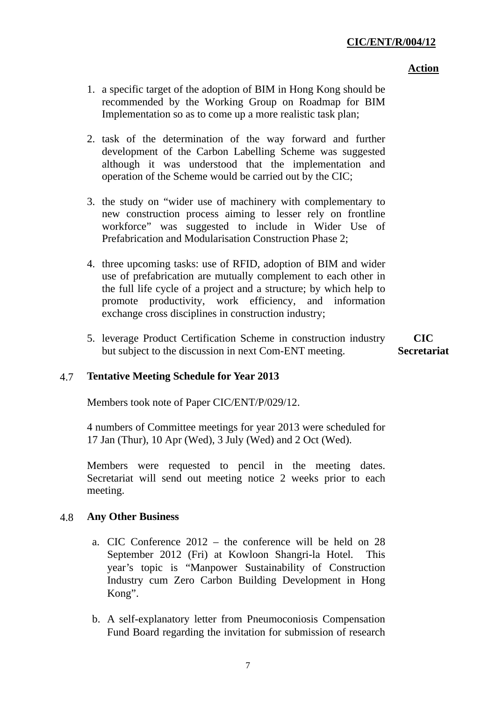#### **Action**

- 1. a specific target of the adoption of BIM in Hong Kong should be recommended by the Working Group on Roadmap for BIM Implementation so as to come up a more realistic task plan;
- 2. task of the determination of the way forward and further development of the Carbon Labelling Scheme was suggested although it was understood that the implementation and operation of the Scheme would be carried out by the CIC;
- 3. the study on "wider use of machinery with complementary to new construction process aiming to lesser rely on frontline workforce" was suggested to include in Wider Use of Prefabrication and Modularisation Construction Phase 2;
- 4. three upcoming tasks: use of RFID, adoption of BIM and wider use of prefabrication are mutually complement to each other in the full life cycle of a project and a structure; by which help to promote productivity, work efficiency, and information exchange cross disciplines in construction industry;
- 5. leverage Product Certification Scheme in construction industry but subject to the discussion in next Com-ENT meeting. **CIC Secretariat**

### 4.7 **Tentative Meeting Schedule for Year 2013**

Members took note of Paper CIC/ENT/P/029/12.

4 numbers of Committee meetings for year 2013 were scheduled for 17 Jan (Thur), 10 Apr (Wed), 3 July (Wed) and 2 Oct (Wed).

Members were requested to pencil in the meeting dates. Secretariat will send out meeting notice 2 weeks prior to each meeting.

#### 4.8 **Any Other Business**

- a. CIC Conference 2012 the conference will be held on 28 September 2012 (Fri) at Kowloon Shangri-la Hotel. This year's topic is "Manpower Sustainability of Construction Industry cum Zero Carbon Building Development in Hong Kong".
- b. A self-explanatory letter from Pneumoconiosis Compensation Fund Board regarding the invitation for submission of research